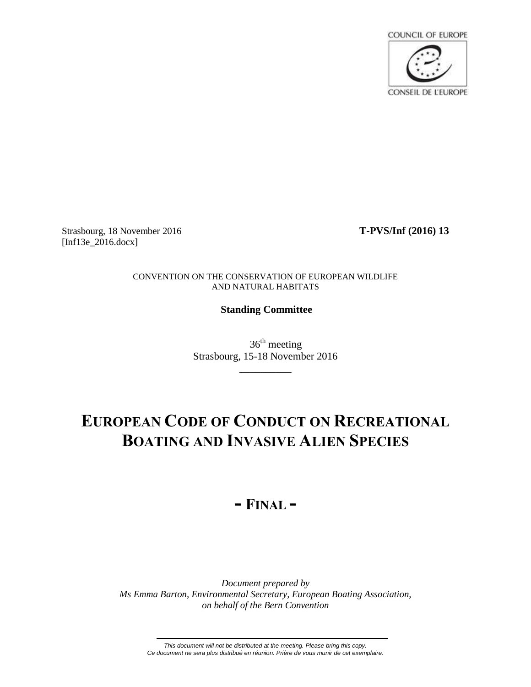**COUNCIL OF EUROPE CONSEIL DE L'EUROPE** 

Strasbourg, 18 November 2016 **T-PVS/Inf (2016) 13** [Inf13e\_2016.docx]

CONVENTION ON THE CONSERVATION OF EUROPEAN WILDLIFE AND NATURAL HABITATS

# **Standing Committee**

 $36<sup>th</sup>$  meeting Strasbourg, 15-18 November 2016

\_\_\_\_\_\_\_\_\_\_

# **EUROPEAN CODE OF CONDUCT ON RECREATIONAL BOATING AND INVASIVE ALIEN SPECIES**

# **- FINAL -**

*Document prepared by Ms Emma Barton, Environmental Secretary, European Boating Association, on behalf of the Bern Convention*

*This document will not be distributed at the meeting. Please bring this copy. Ce document ne sera plus distribué en réunion. Prière de vous munir de cet exemplaire.*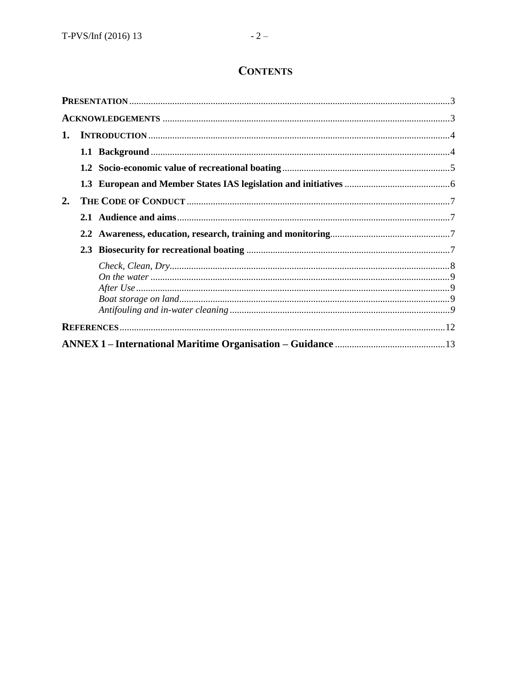# **CONTENTS**

| 1. |  |  |
|----|--|--|
|    |  |  |
|    |  |  |
|    |  |  |
| 2. |  |  |
|    |  |  |
|    |  |  |
|    |  |  |
|    |  |  |
|    |  |  |
|    |  |  |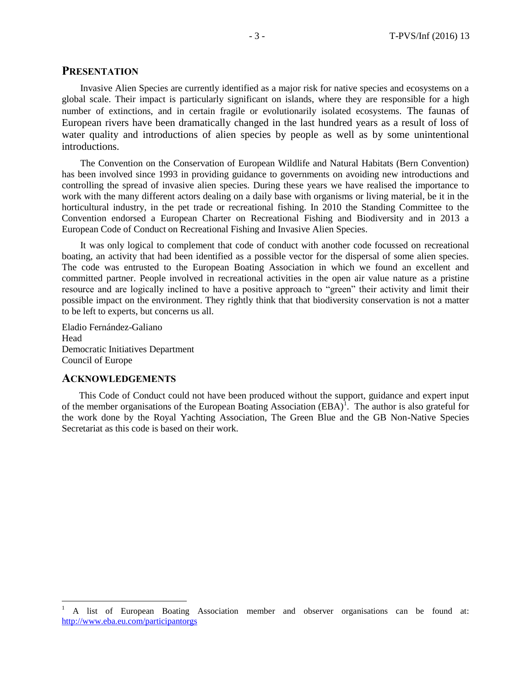# **PRESENTATION**

Invasive Alien Species are currently identified as a major risk for native species and ecosystems on a global scale. Their impact is particularly significant on islands, where they are responsible for a high number of extinctions, and in certain fragile or evolutionarily isolated ecosystems. The faunas of European rivers have been dramatically changed in the last hundred years as a result of loss of water quality and introductions of alien species by people as well as by some unintentional introductions.

The Convention on the Conservation of European Wildlife and Natural Habitats (Bern Convention) has been involved since 1993 in providing guidance to governments on avoiding new introductions and controlling the spread of invasive alien species. During these years we have realised the importance to work with the many different actors dealing on a daily base with organisms or living material, be it in the horticultural industry, in the pet trade or recreational fishing. In 2010 the Standing Committee to the Convention endorsed a European Charter on Recreational Fishing and Biodiversity and in 2013 a European Code of Conduct on Recreational Fishing and Invasive Alien Species.

It was only logical to complement that code of conduct with another code focussed on recreational boating, an activity that had been identified as a possible vector for the dispersal of some alien species. The code was entrusted to the European Boating Association in which we found an excellent and committed partner. People involved in recreational activities in the open air value nature as a pristine resource and are logically inclined to have a positive approach to "green" their activity and limit their possible impact on the environment. They rightly think that that biodiversity conservation is not a matter to be left to experts, but concerns us all.

Eladio Fernández-Galiano Head Democratic Initiatives Department Council of Europe

# **ACKNOWLEDGEMENTS**

This Code of Conduct could not have been produced without the support, guidance and expert input of the member organisations of the European Boating Association  $(BBA)^T$ . The author is also grateful for the work done by the Royal Yachting Association, The Green Blue and the GB Non-Native Species Secretariat as this code is based on their work.

 $\,1$ <sup>1</sup> A list of European Boating Association member and observer organisations can be found at: <http://www.eba.eu.com/participantorgs>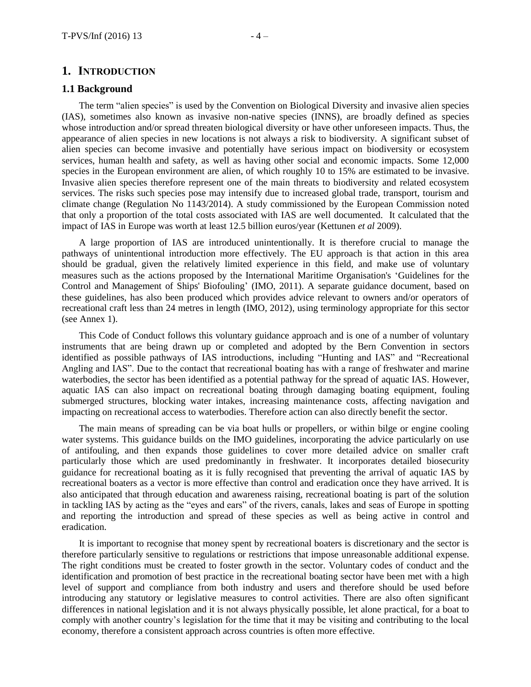# **1. INTRODUCTION**

## **1.1 Background**

The term "alien species" is used by the Convention on Biological Diversity and invasive alien species (IAS), sometimes also known as invasive non-native species (INNS), are broadly defined as species whose introduction and/or spread threaten biological diversity or have other unforeseen impacts. Thus, the appearance of alien species in new locations is not always a risk to biodiversity. A significant subset of alien species can become invasive and potentially have serious impact on biodiversity or ecosystem services, human health and safety, as well as having other social and economic impacts. Some 12,000 species in the European environment are alien, of which roughly 10 to 15% are estimated to be invasive. Invasive alien species therefore represent one of the main threats to biodiversity and related ecosystem services. The risks such species pose may intensify due to increased global trade, transport, tourism and climate change (Regulation No 1143/2014). A study commissioned by the European Commission noted that only a proportion of the total costs associated with IAS are well documented. It calculated that the impact of IAS in Europe was worth at least 12.5 billion euros/year (Kettunen *et al* 2009).

A large proportion of IAS are introduced unintentionally. It is therefore crucial to manage the pathways of unintentional introduction more effectively. The EU approach is that action in this area should be gradual, given the relatively limited experience in this field, and make use of voluntary measures such as the actions proposed by the International Maritime Organisation's 'Guidelines for the Control and Management of Ships' Biofouling' (IMO, 2011). A separate guidance document, based on these guidelines, has also been produced which provides advice relevant to owners and/or operators of recreational craft less than 24 metres in length (IMO, 2012), using terminology appropriate for this sector (se[e Annex 1\)](#page-12-0).

This Code of Conduct follows this voluntary guidance approach and is one of a number of voluntary instruments that are being drawn up or completed and adopted by the Bern Convention in sectors identified as possible pathways of IAS introductions, including "Hunting and IAS" and "Recreational Angling and IAS". Due to the contact that recreational boating has with a range of freshwater and marine waterbodies, the sector has been identified as a potential pathway for the spread of aquatic IAS. However, aquatic IAS can also impact on recreational boating through damaging boating equipment, fouling submerged structures, blocking water intakes, increasing maintenance costs, affecting navigation and impacting on recreational access to waterbodies. Therefore action can also directly benefit the sector.

The main means of spreading can be via boat hulls or propellers, or within bilge or engine cooling water systems. This guidance builds on the IMO guidelines, incorporating the advice particularly on use of antifouling, and then expands those guidelines to cover more detailed advice on smaller craft particularly those which are used predominantly in freshwater. It incorporates detailed biosecurity guidance for recreational boating as it is fully recognised that preventing the arrival of aquatic IAS by recreational boaters as a vector is more effective than control and eradication once they have arrived. It is also anticipated that through education and awareness raising, recreational boating is part of the solution in tackling IAS by acting as the "eyes and ears" of the rivers, canals, lakes and seas of Europe in spotting and reporting the introduction and spread of these species as well as being active in control and eradication.

It is important to recognise that money spent by recreational boaters is discretionary and the sector is therefore particularly sensitive to regulations or restrictions that impose unreasonable additional expense. The right conditions must be created to foster growth in the sector. Voluntary codes of conduct and the identification and promotion of best practice in the recreational boating sector have been met with a high level of support and compliance from both industry and users and therefore should be used before introducing any statutory or legislative measures to control activities. There are also often significant differences in national legislation and it is not always physically possible, let alone practical, for a boat to comply with another country's legislation for the time that it may be visiting and contributing to the local economy, therefore a consistent approach across countries is often more effective.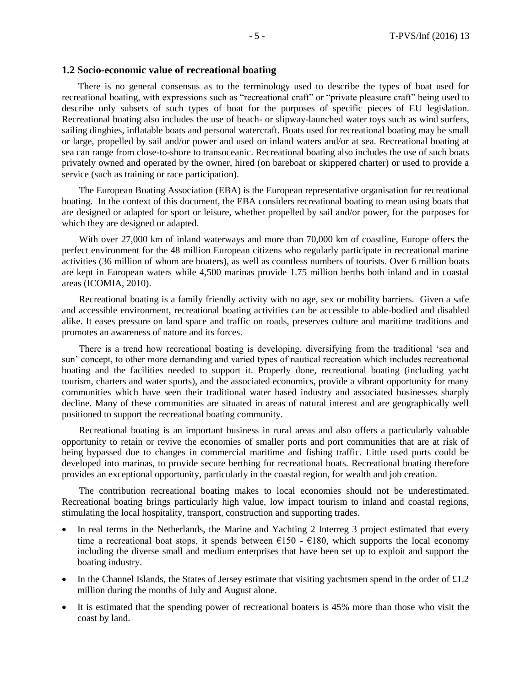#### **1.2 Socio-economic value of recreational boating**

There is no general consensus as to the terminology used to describe the types of boat used for recreational boating, with expressions such as "recreational craft" or "private pleasure craft" being used to describe only subsets of such types of boat for the purposes of specific pieces of EU legislation. Recreational boating also includes the use of beach- or slipway-launched water toys such as wind surfers, sailing dinghies, inflatable boats and personal watercraft. Boats used for recreational boating may be small or large, propelled by sail and/or power and used on inland waters and/or at sea. Recreational boating at sea can range from close-to-shore to transoceanic. Recreational boating also includes the use of such boats privately owned and operated by the owner, hired (on bareboat or skippered charter) or used to provide a service (such as training or race participation).

The European Boating Association (EBA) is the European representative organisation for recreational boating. In the context of this document, the EBA considers recreational boating to mean using boats that are designed or adapted for sport or leisure, whether propelled by sail and/or power, for the purposes for which they are designed or adapted.

With over 27,000 km of inland waterways and more than 70,000 km of coastline, Europe offers the perfect environment for the 48 million European citizens who regularly participate in recreational marine activities (36 million of whom are boaters), as well as countless numbers of tourists. Over 6 million boats are kept in European waters while 4,500 marinas provide 1.75 million berths both inland and in coastal areas (ICOMIA, 2010).

Recreational boating is a family friendly activity with no age, sex or mobility barriers. Given a safe and accessible environment, recreational boating activities can be accessible to able-bodied and disabled alike. It eases pressure on land space and traffic on roads, preserves culture and maritime traditions and promotes an awareness of nature and its forces.

There is a trend how recreational boating is developing, diversifying from the traditional 'sea and sun' concept, to other more demanding and varied types of nautical recreation which includes recreational boating and the facilities needed to support it. Properly done, recreational boating (including yacht tourism, charters and water sports), and the associated economics, provide a vibrant opportunity for many communities which have seen their traditional water based industry and associated businesses sharply decline. Many of these communities are situated in areas of natural interest and are geographically well positioned to support the recreational boating community.

Recreational boating is an important business in rural areas and also offers a particularly valuable opportunity to retain or revive the economies of smaller ports and port communities that are at risk of being bypassed due to changes in commercial maritime and fishing traffic. Little used ports could be developed into marinas, to provide secure berthing for recreational boats. Recreational boating therefore provides an exceptional opportunity, particularly in the coastal region, for wealth and job creation.

The contribution recreational boating makes to local economies should not be underestimated. Recreational boating brings particularly high value, low impact tourism to inland and coastal regions, stimulating the local hospitality, transport, construction and supporting trades.

- In real terms in the Netherlands, the Marine and Yachting 2 Interreg 3 project estimated that every time a recreational boat stops, it spends between  $\epsilon$ 150 -  $\epsilon$ 180, which supports the local economy including the diverse small and medium enterprises that have been set up to exploit and support the boating industry.
- In the Channel Islands, the States of Jersey estimate that visiting yachtsmen spend in the order of £1.2 million during the months of July and August alone.
- It is estimated that the spending power of recreational boaters is 45% more than those who visit the coast by land.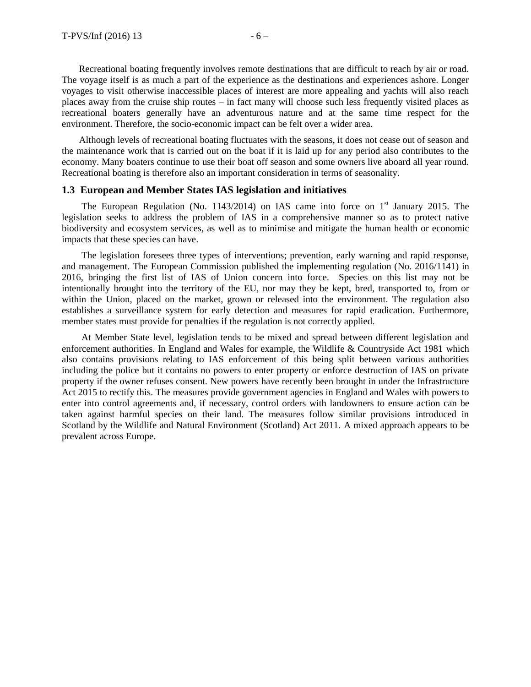Recreational boating frequently involves remote destinations that are difficult to reach by air or road. The voyage itself is as much a part of the experience as the destinations and experiences ashore. Longer voyages to visit otherwise inaccessible places of interest are more appealing and yachts will also reach places away from the cruise ship routes – in fact many will choose such less frequently visited places as recreational boaters generally have an adventurous nature and at the same time respect for the environment. Therefore, the socio-economic impact can be felt over a wider area.

Although levels of recreational boating fluctuates with the seasons, it does not cease out of season and the maintenance work that is carried out on the boat if it is laid up for any period also contributes to the economy. Many boaters continue to use their boat off season and some owners live aboard all year round. Recreational boating is therefore also an important consideration in terms of seasonality.

# **1.3 European and Member States IAS legislation and initiatives**

The European Regulation (No. 1143/2014) on IAS came into force on  $1<sup>st</sup>$  January 2015. The legislation seeks to address the problem of IAS in a comprehensive manner so as to protect native biodiversity and ecosystem services, as well as to minimise and mitigate the human health or economic impacts that these species can have.

The legislation foresees three types of interventions; prevention, early warning and rapid response, and management. The European Commission published the implementing regulation (No. 2016/1141) in 2016, bringing the first list of IAS of Union concern into force. Species on this list may not be intentionally brought into the territory of the EU, nor may they be kept, bred, transported to, from or within the Union, placed on the market, grown or released into the environment. The regulation also establishes a surveillance system for early detection and measures for rapid eradication. Furthermore, member states must provide for penalties if the regulation is not correctly applied.

At Member State level, legislation tends to be mixed and spread between different legislation and enforcement authorities. In England and Wales for example, the Wildlife & Countryside Act 1981 which also contains provisions relating to IAS enforcement of this being split between various authorities including the police but it contains no powers to enter property or enforce destruction of IAS on private property if the owner refuses consent. New powers have recently been brought in under the Infrastructure Act 2015 to rectify this. The measures provide government agencies in England and Wales with powers to enter into control agreements and, if necessary, control orders with landowners to ensure action can be taken against harmful species on their land. The measures follow similar provisions introduced in Scotland by the Wildlife and Natural Environment (Scotland) Act 2011. A mixed approach appears to be prevalent across Europe.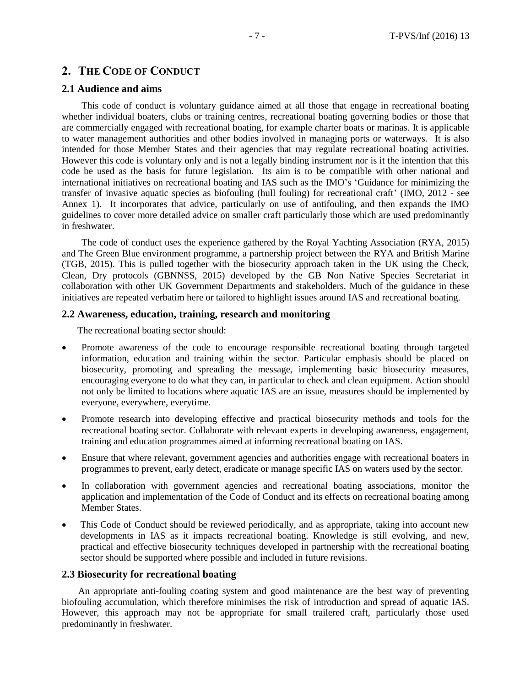# **2. THE CODE OF CONDUCT**

# **2.1 Audience and aims**

This code of conduct is voluntary guidance aimed at all those that engage in recreational boating whether individual boaters, clubs or training centres, recreational boating governing bodies or those that are commercially engaged with recreational boating, for example charter boats or marinas. It is applicable to water management authorities and other bodies involved in managing ports or waterways. It is also intended for those Member States and their agencies that may regulate recreational boating activities. However this code is voluntary only and is not a legally binding instrument nor is it the intention that this code be used as the basis for future legislation. Its aim is to be compatible with other national and international initiatives on recreational boating and IAS such as the IMO's 'Guidance for minimizing the transfer of invasive aquatic species as biofouling (hull fouling) for recreational craft' (IMO, 2012 - see [Annex 1\)](#page-12-0). It incorporates that advice, particularly on use of antifouling, and then expands the IMO guidelines to cover more detailed advice on smaller craft particularly those which are used predominantly in freshwater.

The code of conduct uses the experience gathered by the Royal Yachting Association (RYA, 2015) and The Green Blue environment programme, a partnership project between the RYA and British Marine (TGB, 2015). This is pulled together with the biosecurity approach taken in the UK using the Check, Clean, Dry protocols (GBNNSS, 2015) developed by the GB Non Native Species Secretariat in collaboration with other UK Government Departments and stakeholders. Much of the guidance in these initiatives are repeated verbatim here or tailored to highlight issues around IAS and recreational boating.

# **2.2 Awareness, education, training, research and monitoring**

The recreational boating sector should:

- Promote awareness of the code to encourage responsible recreational boating through targeted information, education and training within the sector. Particular emphasis should be placed on biosecurity, promoting and spreading the message, implementing basic biosecurity measures, encouraging everyone to do what they can, in particular to check and clean equipment. Action should not only be limited to locations where aquatic IAS are an issue, measures should be implemented by everyone, everywhere, everytime.
- Promote research into developing effective and practical biosecurity methods and tools for the recreational boating sector. Collaborate with relevant experts in developing awareness, engagement, training and education programmes aimed at informing recreational boating on IAS.
- Ensure that where relevant, government agencies and authorities engage with recreational boaters in programmes to prevent, early detect, eradicate or manage specific IAS on waters used by the sector.
- In collaboration with government agencies and recreational boating associations, monitor the application and implementation of the Code of Conduct and its effects on recreational boating among Member States.
- This Code of Conduct should be reviewed periodically, and as appropriate, taking into account new developments in IAS as it impacts recreational boating. Knowledge is still evolving, and new, practical and effective biosecurity techniques developed in partnership with the recreational boating sector should be supported where possible and included in future revisions.

## **2.3 Biosecurity for recreational boating**

An appropriate anti-fouling coating system and good maintenance are the best way of preventing biofouling accumulation, which therefore minimises the risk of introduction and spread of aquatic IAS. However, this approach may not be appropriate for small trailered craft, particularly those used predominantly in freshwater.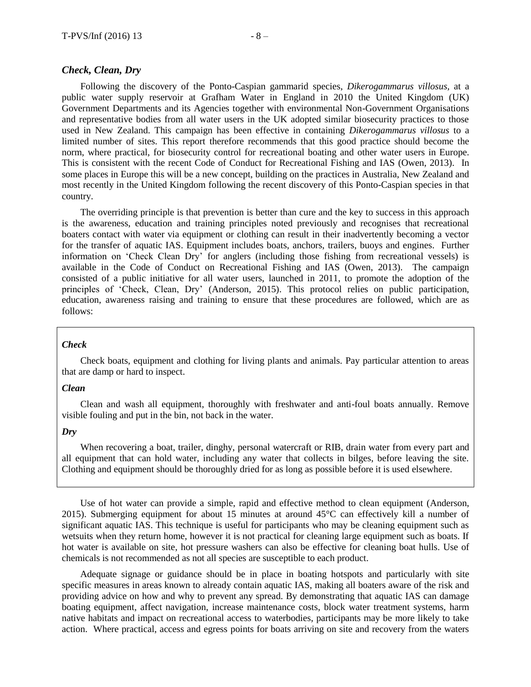## *Check, Clean, Dry*

Following the discovery of the Ponto-Caspian gammarid species, *Dikerogammarus villosus,* at a public water supply reservoir at Grafham Water in England in 2010 the United Kingdom (UK) Government Departments and its Agencies together with environmental Non-Government Organisations and representative bodies from all water users in the UK adopted similar biosecurity practices to those used in New Zealand. This campaign has been effective in containing *Dikerogammarus villosus* to a limited number of sites. This report therefore recommends that this good practice should become the norm, where practical, for biosecurity control for recreational boating and other water users in Europe. This is consistent with the recent Code of Conduct for Recreational Fishing and IAS (Owen, 2013). In some places in Europe this will be a new concept, building on the practices in Australia, New Zealand and most recently in the United Kingdom following the recent discovery of this Ponto-Caspian species in that country.

The overriding principle is that prevention is better than cure and the key to success in this approach is the awareness, education and training principles noted previously and recognises that recreational boaters contact with water via equipment or clothing can result in their inadvertently becoming a vector for the transfer of aquatic IAS. Equipment includes boats, anchors, trailers, buoys and engines. Further information on 'Check Clean Dry' for anglers (including those fishing from recreational vessels) is available in the Code of Conduct on Recreational Fishing and IAS (Owen, 2013). The campaign consisted of a public initiative for all water users, launched in 2011, to promote the adoption of the principles of 'Check, Clean, Dry' (Anderson, 2015). This protocol relies on public participation, education, awareness raising and training to ensure that these procedures are followed, which are as follows:

#### *Check*

Check boats, equipment and clothing for living plants and animals. Pay particular attention to areas that are damp or hard to inspect.

#### *Clean*

Clean and wash all equipment, thoroughly with freshwater and anti-foul boats annually. Remove visible fouling and put in the bin, not back in the water.

#### *Dry*

When recovering a boat, trailer, dinghy, personal watercraft or RIB, drain water from every part and all equipment that can hold water, including any water that collects in bilges, before leaving the site. Clothing and equipment should be thoroughly dried for as long as possible before it is used elsewhere.

Use of hot water can provide a simple, rapid and effective method to clean equipment (Anderson, 2015). Submerging equipment for about 15 minutes at around 45°C can effectively kill a number of significant aquatic IAS. This technique is useful for participants who may be cleaning equipment such as wetsuits when they return home, however it is not practical for cleaning large equipment such as boats. If hot water is available on site, hot pressure washers can also be effective for cleaning boat hulls. Use of chemicals is not recommended as not all species are susceptible to each product.

Adequate signage or guidance should be in place in boating hotspots and particularly with site specific measures in areas known to already contain aquatic IAS, making all boaters aware of the risk and providing advice on how and why to prevent any spread. By demonstrating that aquatic IAS can damage boating equipment, affect navigation, increase maintenance costs, block water treatment systems, harm native habitats and impact on recreational access to waterbodies, participants may be more likely to take action. Where practical, access and egress points for boats arriving on site and recovery from the waters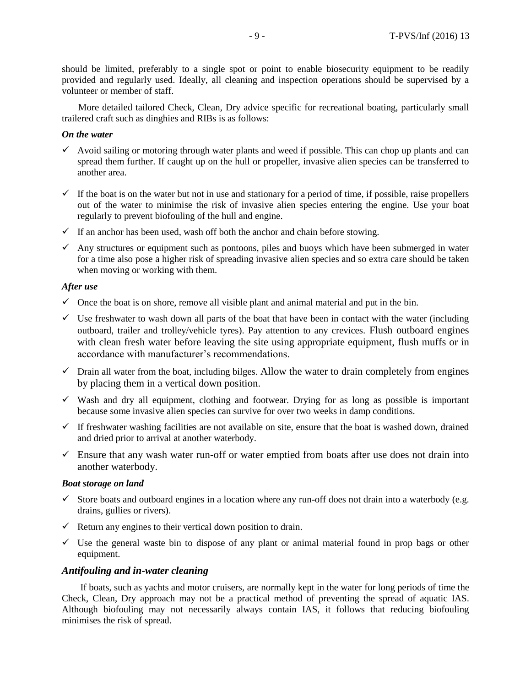should be limited, preferably to a single spot or point to enable biosecurity equipment to be readily provided and regularly used. Ideally, all cleaning and inspection operations should be supervised by a volunteer or member of staff.

More detailed tailored Check, Clean, Dry advice specific for recreational boating, particularly small trailered craft such as dinghies and RIBs is as follows:

#### *On the water*

- $\checkmark$  Avoid sailing or motoring through water plants and weed if possible. This can chop up plants and can spread them further. If caught up on the hull or propeller, invasive alien species can be transferred to another area.
- $\checkmark$  If the boat is on the water but not in use and stationary for a period of time, if possible, raise propellers out of the water to minimise the risk of invasive alien species entering the engine. Use your boat regularly to prevent biofouling of the hull and engine.
- $\checkmark$  If an anchor has been used, wash off both the anchor and chain before stowing.
- $\checkmark$  Any structures or equipment such as pontoons, piles and buoys which have been submerged in water for a time also pose a higher risk of spreading invasive alien species and so extra care should be taken when moving or working with them.

## *After use*

- $\checkmark$  Once the boat is on shore, remove all visible plant and animal material and put in the bin.
- $\checkmark$  Use freshwater to wash down all parts of the boat that have been in contact with the water (including outboard, trailer and trolley/vehicle tyres). Pay attention to any crevices. Flush outboard engines with clean fresh water before leaving the site using appropriate equipment, flush muffs or in accordance with manufacturer's recommendations.
- $\checkmark$  Drain all water from the boat, including bilges. Allow the water to drain completely from engines by placing them in a vertical down position.
- $\checkmark$  Wash and dry all equipment, clothing and footwear. Drying for as long as possible is important because some invasive alien species can survive for over two weeks in damp conditions.
- $\checkmark$  If freshwater washing facilities are not available on site, ensure that the boat is washed down, drained and dried prior to arrival at another waterbody.
- $\checkmark$  Ensure that any wash water run-off or water emptied from boats after use does not drain into another waterbody.

#### *Boat storage on land*

- Store boats and outboard engines in a location where any run-off does not drain into a waterbody (e.g. drains, gullies or rivers).
- $\checkmark$  Return any engines to their vertical down position to drain.
- $\checkmark$  Use the general waste bin to dispose of any plant or animal material found in prop bags or other equipment.

# *Antifouling and in-water cleaning*

If boats, such as yachts and motor cruisers, are normally kept in the water for long periods of time the Check, Clean, Dry approach may not be a practical method of preventing the spread of aquatic IAS. Although biofouling may not necessarily always contain IAS, it follows that reducing biofouling minimises the risk of spread.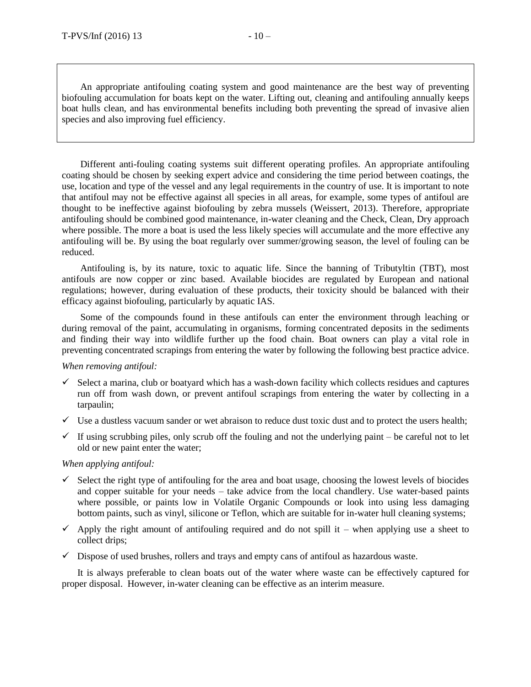An appropriate antifouling coating system and good maintenance are the best way of preventing biofouling accumulation for boats kept on the water. Lifting out, cleaning and antifouling annually keeps boat hulls clean, and has environmental benefits including both preventing the spread of invasive alien species and also improving fuel efficiency.

Different anti-fouling coating systems suit different operating profiles. An appropriate antifouling coating should be chosen by seeking expert advice and considering the time period between coatings, the use, location and type of the vessel and any legal requirements in the country of use. It is important to note that antifoul may not be effective against all species in all areas, for example, some types of antifoul are thought to be ineffective against biofouling by zebra mussels (Weissert, 2013). Therefore, appropriate antifouling should be combined good maintenance, in-water cleaning and the Check, Clean, Dry approach where possible. The more a boat is used the less likely species will accumulate and the more effective any antifouling will be. By using the boat regularly over summer/growing season, the level of fouling can be reduced.

Antifouling is, by its nature, toxic to aquatic life. Since the banning of Tributyltin (TBT), most antifouls are now copper or zinc based. Available biocides are regulated by European and national regulations; however, during evaluation of these products, their toxicity should be balanced with their efficacy against biofouling, particularly by aquatic IAS.

Some of the compounds found in these antifouls can enter the environment through leaching or during removal of the paint, accumulating in organisms, forming concentrated deposits in the sediments and finding their way into wildlife further up the food chain. Boat owners can play a vital role in preventing concentrated scrapings from entering the water by following the following best practice advice.

#### *When removing antifoul:*

- $\checkmark$  Select a marina, club or boatyard which has a wash-down facility which collects residues and captures run off from wash down, or prevent antifoul scrapings from entering the water by collecting in a tarpaulin;
- $\checkmark$  Use a dustless vacuum sander or wet abraison to reduce dust toxic dust and to protect the users health;
- If using scrubbing piles, only scrub off the fouling and not the underlying paint be careful not to let old or new paint enter the water;

# *When applying antifoul:*

- $\checkmark$  Select the right type of antifouling for the area and boat usage, choosing the lowest levels of biocides and copper suitable for your needs – take advice from the local chandlery. Use water-based paints where possible, or paints low in Volatile Organic Compounds or look into using less damaging bottom paints, such as vinyl, silicone or Teflon, which are suitable for in-water hull cleaning systems;
- $\checkmark$  Apply the right amount of antifouling required and do not spill it when applying use a sheet to collect drips;
- $\checkmark$  Dispose of used brushes, rollers and trays and empty cans of antifoul as hazardous waste.

It is always preferable to clean boats out of the water where waste can be effectively captured for proper disposal. However, in-water cleaning can be effective as an interim measure.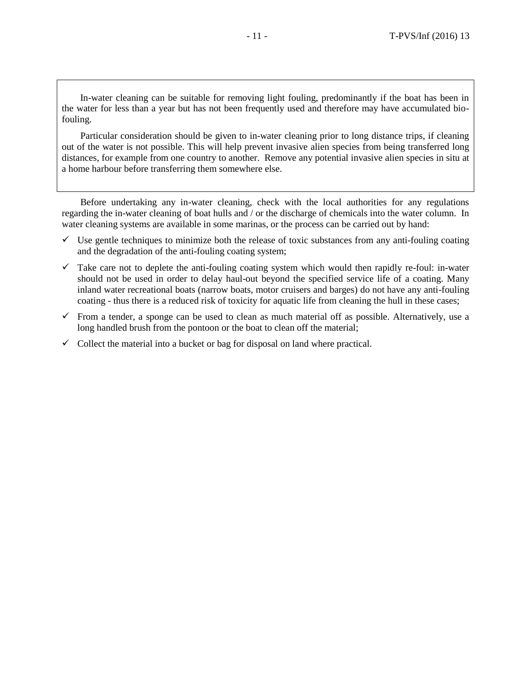In-water cleaning can be suitable for removing light fouling, predominantly if the boat has been in the water for less than a year but has not been frequently used and therefore may have accumulated biofouling.

Particular consideration should be given to in-water cleaning prior to long distance trips, if cleaning out of the water is not possible. This will help prevent invasive alien species from being transferred long distances, for example from one country to another. Remove any potential invasive alien species in situ at a home harbour before transferring them somewhere else.

Before undertaking any in-water cleaning, check with the local authorities for any regulations regarding the in-water cleaning of boat hulls and / or the discharge of chemicals into the water column. In water cleaning systems are available in some marinas, or the process can be carried out by hand:

- $\checkmark$  Use gentle techniques to minimize both the release of toxic substances from any anti-fouling coating and the degradation of the anti-fouling coating system;
- $\checkmark$  Take care not to deplete the anti-fouling coating system which would then rapidly re-foul: in-water should not be used in order to delay haul-out beyond the specified service life of a coating. Many inland water recreational boats (narrow boats, motor cruisers and barges) do not have any anti-fouling coating - thus there is a reduced risk of toxicity for aquatic life from cleaning the hull in these cases;
- $\checkmark$  From a tender, a sponge can be used to clean as much material off as possible. Alternatively, use a long handled brush from the pontoon or the boat to clean off the material;
- $\checkmark$  Collect the material into a bucket or bag for disposal on land where practical.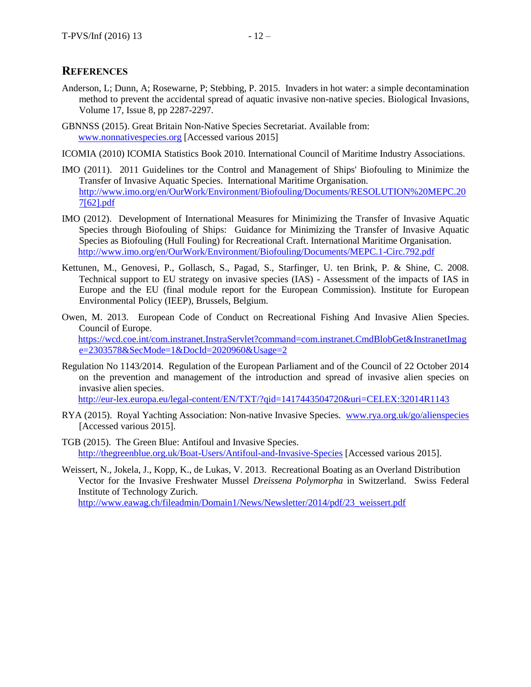# **REFERENCES**

- Anderson, L; Dunn, A; Rosewarne, P; Stebbing, P. 2015. Invaders in hot water: a simple decontamination method to prevent the accidental spread of aquatic invasive non-native species. Biological Invasions, Volume 17, Issue 8, pp 2287-2297.
- GBNNSS (2015). Great Britain Non-Native Species Secretariat. Available from: [www.nonnativespecies.org](http://www.nonnativespecies.org/) [Accessed various 2015]
- ICOMIA (2010) ICOMIA Statistics Book 2010. International Council of Maritime Industry Associations.
- IMO (2011). 2011 Guidelines tor the Control and Management of Ships' Biofouling to Minimize the Transfer of Invasive Aquatic Species. International Maritime Organisation. [http://www.imo.org/en/OurWork/Environment/Biofouling/Documents/RESOLUTION%20MEPC.20](http://www.imo.org/en/OurWork/Environment/Biofouling/Documents/RESOLUTION%20MEPC.207%5b62%5d.pdf) [7\[62\].pdf](http://www.imo.org/en/OurWork/Environment/Biofouling/Documents/RESOLUTION%20MEPC.207%5b62%5d.pdf)
- IMO (2012). Development of International Measures for Minimizing the Transfer of Invasive Aquatic Species through Biofouling of Ships: Guidance for Minimizing the Transfer of Invasive Aquatic Species as Biofouling (Hull Fouling) for Recreational Craft. International Maritime Organisation. <http://www.imo.org/en/OurWork/Environment/Biofouling/Documents/MEPC.1-Circ.792.pdf>
- Kettunen, M., Genovesi, P., Gollasch, S., Pagad, S., Starfinger, U. ten Brink, P. & Shine, C. 2008. Technical support to EU strategy on invasive species (IAS) - Assessment of the impacts of IAS in Europe and the EU (final module report for the European Commission). Institute for European Environmental Policy (IEEP), Brussels, Belgium.
- Owen, M. 2013. European Code of Conduct on Recreational Fishing And Invasive Alien Species. Council of Europe. [https://wcd.coe.int/com.instranet.InstraServlet?command=com.instranet.CmdBlobGet&InstranetImag](https://wcd.coe.int/com.instranet.InstraServlet?command=com.instranet.CmdBlobGet&InstranetImage=2303578&SecMode=1&DocId=2020960&Usage=2) [e=2303578&SecMode=1&DocId=2020960&Usage=2](https://wcd.coe.int/com.instranet.InstraServlet?command=com.instranet.CmdBlobGet&InstranetImage=2303578&SecMode=1&DocId=2020960&Usage=2)
- Regulation No 1143/2014. Regulation of the European Parliament and of the Council of 22 October 2014 on the prevention and management of the introduction and spread of invasive alien species on invasive alien species.

<http://eur-lex.europa.eu/legal-content/EN/TXT/?qid=1417443504720&uri=CELEX:32014R1143>

- RYA (2015). Royal Yachting Association: Non-native Invasive Species. [www.rya.org.uk/go/alienspecies](http://www.rya.org.uk/go/alienspecies) [Accessed various 2015].
- TGB (2015). The Green Blue: Antifoul and Invasive Species. <http://thegreenblue.org.uk/Boat-Users/Antifoul-and-Invasive-Species> [Accessed various 2015].
- Weissert, N., Jokela, J., Kopp, K., de Lukas, V. 2013. Recreational Boating as an Overland Distribution Vector for the Invasive Freshwater Mussel *Dreissena Polymorpha* in Switzerland. Swiss Federal Institute of Technology Zurich. [http://www.eawag.ch/fileadmin/Domain1/News/Newsletter/2014/pdf/23\\_weissert.pdf](http://www.eawag.ch/fileadmin/Domain1/News/Newsletter/2014/pdf/23_weissert.pdf)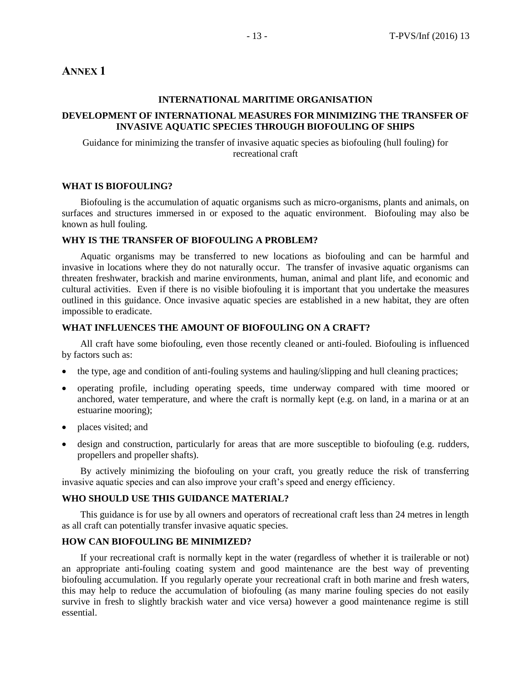# <span id="page-12-0"></span>**ANNEX 1**

## **INTERNATIONAL MARITIME ORGANISATION**

# **DEVELOPMENT OF INTERNATIONAL MEASURES FOR MINIMIZING THE TRANSFER OF INVASIVE AQUATIC SPECIES THROUGH BIOFOULING OF SHIPS**

Guidance for minimizing the transfer of invasive aquatic species as biofouling (hull fouling) for recreational craft

#### **WHAT IS BIOFOULING?**

Biofouling is the accumulation of aquatic organisms such as micro-organisms, plants and animals, on surfaces and structures immersed in or exposed to the aquatic environment. Biofouling may also be known as hull fouling.

#### **WHY IS THE TRANSFER OF BIOFOULING A PROBLEM?**

Aquatic organisms may be transferred to new locations as biofouling and can be harmful and invasive in locations where they do not naturally occur. The transfer of invasive aquatic organisms can threaten freshwater, brackish and marine environments, human, animal and plant life, and economic and cultural activities. Even if there is no visible biofouling it is important that you undertake the measures outlined in this guidance. Once invasive aquatic species are established in a new habitat, they are often impossible to eradicate.

#### **WHAT INFLUENCES THE AMOUNT OF BIOFOULING ON A CRAFT?**

All craft have some biofouling, even those recently cleaned or anti-fouled. Biofouling is influenced by factors such as:

- the type, age and condition of anti-fouling systems and hauling/slipping and hull cleaning practices;
- operating profile, including operating speeds, time underway compared with time moored or anchored, water temperature, and where the craft is normally kept (e.g. on land, in a marina or at an estuarine mooring);
- places visited; and
- design and construction, particularly for areas that are more susceptible to biofouling (e.g. rudders, propellers and propeller shafts).

By actively minimizing the biofouling on your craft, you greatly reduce the risk of transferring invasive aquatic species and can also improve your craft's speed and energy efficiency.

#### **WHO SHOULD USE THIS GUIDANCE MATERIAL?**

This guidance is for use by all owners and operators of recreational craft less than 24 metres in length as all craft can potentially transfer invasive aquatic species.

## **HOW CAN BIOFOULING BE MINIMIZED?**

If your recreational craft is normally kept in the water (regardless of whether it is trailerable or not) an appropriate anti-fouling coating system and good maintenance are the best way of preventing biofouling accumulation. If you regularly operate your recreational craft in both marine and fresh waters, this may help to reduce the accumulation of biofouling (as many marine fouling species do not easily survive in fresh to slightly brackish water and vice versa) however a good maintenance regime is still essential.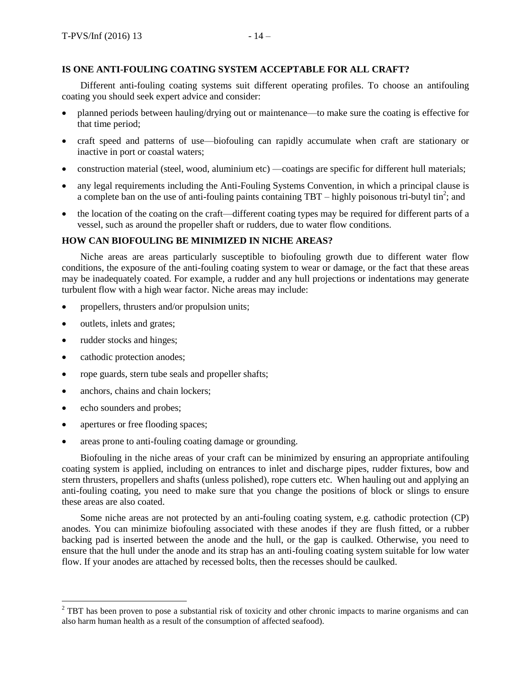# **IS ONE ANTI-FOULING COATING SYSTEM ACCEPTABLE FOR ALL CRAFT?**

Different anti-fouling coating systems suit different operating profiles. To choose an antifouling coating you should seek expert advice and consider:

- planned periods between hauling/drying out or maintenance—to make sure the coating is effective for that time period;
- craft speed and patterns of use—biofouling can rapidly accumulate when craft are stationary or inactive in port or coastal waters;
- construction material (steel, wood, aluminium etc) —coatings are specific for different hull materials;
- any legal requirements including the Anti-Fouling Systems Convention, in which a principal clause is a complete ban on the use of anti-fouling paints containing  $TBT -$  highly poisonous tri-butyl tin<sup>2</sup>; and
- the location of the coating on the craft—different coating types may be required for different parts of a vessel, such as around the propeller shaft or rudders, due to water flow conditions.

#### **HOW CAN BIOFOULING BE MINIMIZED IN NICHE AREAS?**

Niche areas are areas particularly susceptible to biofouling growth due to different water flow conditions, the exposure of the anti-fouling coating system to wear or damage, or the fact that these areas may be inadequately coated. For example, a rudder and any hull projections or indentations may generate turbulent flow with a high wear factor. Niche areas may include:

- propellers, thrusters and/or propulsion units;
- outlets, inlets and grates;
- rudder stocks and hinges;
- cathodic protection anodes;
- rope guards, stern tube seals and propeller shafts;
- anchors, chains and chain lockers;
- echo sounders and probes;

 $\overline{a}$ 

- apertures or free flooding spaces;
- areas prone to anti-fouling coating damage or grounding.

Biofouling in the niche areas of your craft can be minimized by ensuring an appropriate antifouling coating system is applied, including on entrances to inlet and discharge pipes, rudder fixtures, bow and stern thrusters, propellers and shafts (unless polished), rope cutters etc. When hauling out and applying an anti-fouling coating, you need to make sure that you change the positions of block or slings to ensure these areas are also coated.

Some niche areas are not protected by an anti-fouling coating system, e.g. cathodic protection (CP) anodes. You can minimize biofouling associated with these anodes if they are flush fitted, or a rubber backing pad is inserted between the anode and the hull, or the gap is caulked. Otherwise, you need to ensure that the hull under the anode and its strap has an anti-fouling coating system suitable for low water flow. If your anodes are attached by recessed bolts, then the recesses should be caulked.

 $2^2$  TBT has been proven to pose a substantial risk of toxicity and other chronic impacts to marine organisms and can also harm human health as a result of the consumption of affected seafood).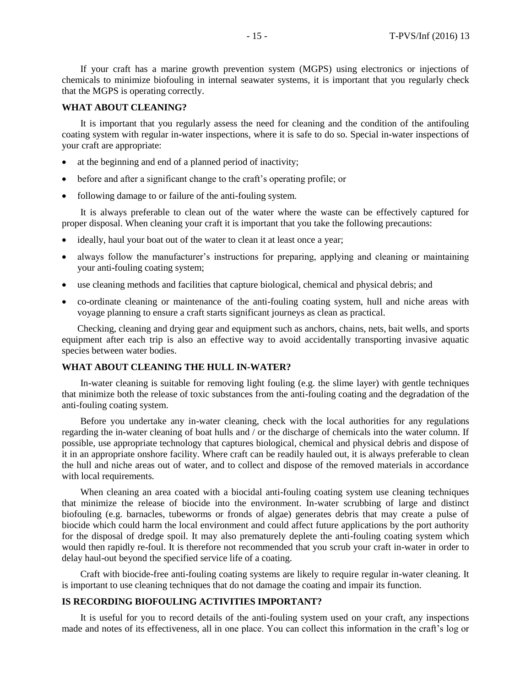If your craft has a marine growth prevention system (MGPS) using electronics or injections of chemicals to minimize biofouling in internal seawater systems, it is important that you regularly check that the MGPS is operating correctly.

## **WHAT ABOUT CLEANING?**

It is important that you regularly assess the need for cleaning and the condition of the antifouling coating system with regular in-water inspections, where it is safe to do so. Special in-water inspections of your craft are appropriate:

- at the beginning and end of a planned period of inactivity;
- before and after a significant change to the craft's operating profile; or
- following damage to or failure of the anti-fouling system.

It is always preferable to clean out of the water where the waste can be effectively captured for proper disposal. When cleaning your craft it is important that you take the following precautions:

- ideally, haul your boat out of the water to clean it at least once a year;
- always follow the manufacturer's instructions for preparing, applying and cleaning or maintaining your anti-fouling coating system;
- use cleaning methods and facilities that capture biological, chemical and physical debris; and
- co-ordinate cleaning or maintenance of the anti-fouling coating system, hull and niche areas with voyage planning to ensure a craft starts significant journeys as clean as practical.

Checking, cleaning and drying gear and equipment such as anchors, chains, nets, bait wells, and sports equipment after each trip is also an effective way to avoid accidentally transporting invasive aquatic species between water bodies.

## **WHAT ABOUT CLEANING THE HULL IN-WATER?**

In-water cleaning is suitable for removing light fouling (e.g. the slime layer) with gentle techniques that minimize both the release of toxic substances from the anti-fouling coating and the degradation of the anti-fouling coating system.

Before you undertake any in-water cleaning, check with the local authorities for any regulations regarding the in-water cleaning of boat hulls and / or the discharge of chemicals into the water column. If possible, use appropriate technology that captures biological, chemical and physical debris and dispose of it in an appropriate onshore facility. Where craft can be readily hauled out, it is always preferable to clean the hull and niche areas out of water, and to collect and dispose of the removed materials in accordance with local requirements.

When cleaning an area coated with a biocidal anti-fouling coating system use cleaning techniques that minimize the release of biocide into the environment. In-water scrubbing of large and distinct biofouling (e.g. barnacles, tubeworms or fronds of algae) generates debris that may create a pulse of biocide which could harm the local environment and could affect future applications by the port authority for the disposal of dredge spoil. It may also prematurely deplete the anti-fouling coating system which would then rapidly re-foul. It is therefore not recommended that you scrub your craft in-water in order to delay haul-out beyond the specified service life of a coating.

Craft with biocide-free anti-fouling coating systems are likely to require regular in-water cleaning. It is important to use cleaning techniques that do not damage the coating and impair its function.

#### **IS RECORDING BIOFOULING ACTIVITIES IMPORTANT?**

It is useful for you to record details of the anti-fouling system used on your craft, any inspections made and notes of its effectiveness, all in one place. You can collect this information in the craft's log or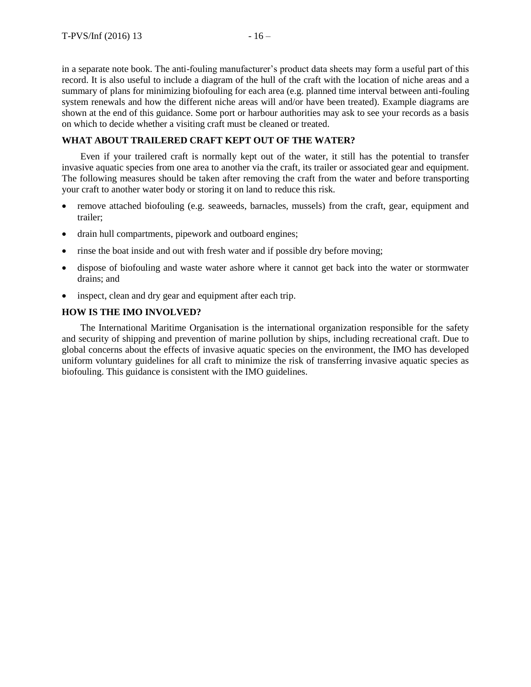in a separate note book. The anti-fouling manufacturer's product data sheets may form a useful part of this record. It is also useful to include a diagram of the hull of the craft with the location of niche areas and a summary of plans for minimizing biofouling for each area (e.g. planned time interval between anti-fouling system renewals and how the different niche areas will and/or have been treated). Example diagrams are shown at the end of this guidance. Some port or harbour authorities may ask to see your records as a basis on which to decide whether a visiting craft must be cleaned or treated.

# **WHAT ABOUT TRAILERED CRAFT KEPT OUT OF THE WATER?**

Even if your trailered craft is normally kept out of the water, it still has the potential to transfer invasive aquatic species from one area to another via the craft, its trailer or associated gear and equipment. The following measures should be taken after removing the craft from the water and before transporting your craft to another water body or storing it on land to reduce this risk.

- remove attached biofouling (e.g. seaweeds, barnacles, mussels) from the craft, gear, equipment and trailer;
- drain hull compartments, pipework and outboard engines;
- rinse the boat inside and out with fresh water and if possible dry before moving;
- dispose of biofouling and waste water ashore where it cannot get back into the water or stormwater drains; and
- inspect, clean and dry gear and equipment after each trip.

## **HOW IS THE IMO INVOLVED?**

The International Maritime Organisation is the international organization responsible for the safety and security of shipping and prevention of marine pollution by ships, including recreational craft. Due to global concerns about the effects of invasive aquatic species on the environment, the IMO has developed uniform voluntary guidelines for all craft to minimize the risk of transferring invasive aquatic species as biofouling. This guidance is consistent with the IMO guidelines.